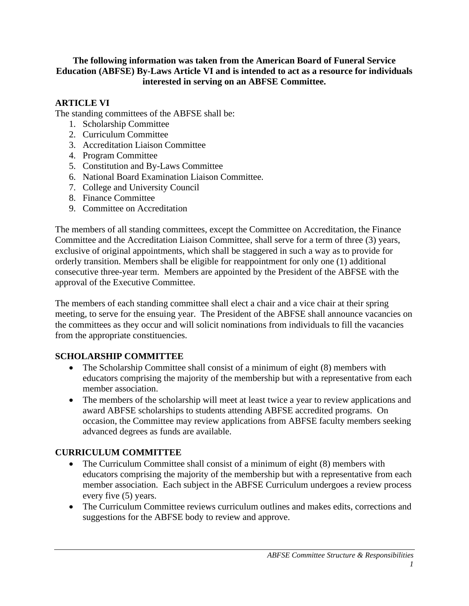#### **The following information was taken from the American Board of Funeral Service Education (ABFSE) By-Laws Article VI and is intended to act as a resource for individuals interested in serving on an ABFSE Committee.**

#### **ARTICLE VI**

The standing committees of the ABFSE shall be:

- 1. Scholarship Committee
- 2. Curriculum Committee
- 3. Accreditation Liaison Committee
- 4. Program Committee
- 5. Constitution and By-Laws Committee
- 6. National Board Examination Liaison Committee.
- 7. College and University Council
- 8. Finance Committee
- 9. Committee on Accreditation

The members of all standing committees, except the Committee on Accreditation, the Finance Committee and the Accreditation Liaison Committee, shall serve for a term of three (3) years, exclusive of original appointments, which shall be staggered in such a way as to provide for orderly transition. Members shall be eligible for reappointment for only one (1) additional consecutive three-year term. Members are appointed by the President of the ABFSE with the approval of the Executive Committee.

The members of each standing committee shall elect a chair and a vice chair at their spring meeting, to serve for the ensuing year. The President of the ABFSE shall announce vacancies on the committees as they occur and will solicit nominations from individuals to fill the vacancies from the appropriate constituencies.

#### **SCHOLARSHIP COMMITTEE**

- The Scholarship Committee shall consist of a minimum of eight (8) members with educators comprising the majority of the membership but with a representative from each member association.
- The members of the scholarship will meet at least twice a year to review applications and award ABFSE scholarships to students attending ABFSE accredited programs. On occasion, the Committee may review applications from ABFSE faculty members seeking advanced degrees as funds are available.

### **CURRICULUM COMMITTEE**

- The Curriculum Committee shall consist of a minimum of eight (8) members with educators comprising the majority of the membership but with a representative from each member association. Each subject in the ABFSE Curriculum undergoes a review process every five (5) years.
- The Curriculum Committee reviews curriculum outlines and makes edits, corrections and suggestions for the ABFSE body to review and approve.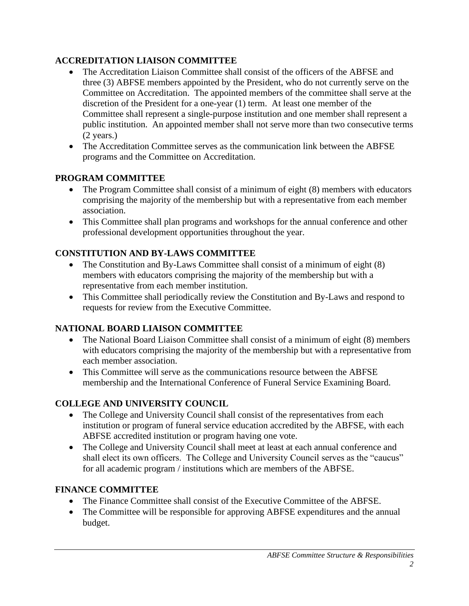## **ACCREDITATION LIAISON COMMITTEE**

- The Accreditation Liaison Committee shall consist of the officers of the ABFSE and three (3) ABFSE members appointed by the President, who do not currently serve on the Committee on Accreditation. The appointed members of the committee shall serve at the discretion of the President for a one-year (1) term. At least one member of the Committee shall represent a single-purpose institution and one member shall represent a public institution. An appointed member shall not serve more than two consecutive terms (2 years.)
- The Accreditation Committee serves as the communication link between the ABFSE programs and the Committee on Accreditation.

## **PROGRAM COMMITTEE**

- The Program Committee shall consist of a minimum of eight (8) members with educators comprising the majority of the membership but with a representative from each member association.
- This Committee shall plan programs and workshops for the annual conference and other professional development opportunities throughout the year.

# **CONSTITUTION AND BY-LAWS COMMITTEE**

- The Constitution and By-Laws Committee shall consist of a minimum of eight (8) members with educators comprising the majority of the membership but with a representative from each member institution.
- This Committee shall periodically review the Constitution and By-Laws and respond to requests for review from the Executive Committee.

# **NATIONAL BOARD LIAISON COMMITTEE**

- The National Board Liaison Committee shall consist of a minimum of eight (8) members with educators comprising the majority of the membership but with a representative from each member association.
- This Committee will serve as the communications resource between the ABFSE membership and the International Conference of Funeral Service Examining Board.

# **COLLEGE AND UNIVERSITY COUNCIL**

- The College and University Council shall consist of the representatives from each institution or program of funeral service education accredited by the ABFSE, with each ABFSE accredited institution or program having one vote.
- The College and University Council shall meet at least at each annual conference and shall elect its own officers. The College and University Council serves as the "caucus" for all academic program / institutions which are members of the ABFSE.

### **FINANCE COMMITTEE**

- The Finance Committee shall consist of the Executive Committee of the ABFSE.
- The Committee will be responsible for approving ABFSE expenditures and the annual budget.